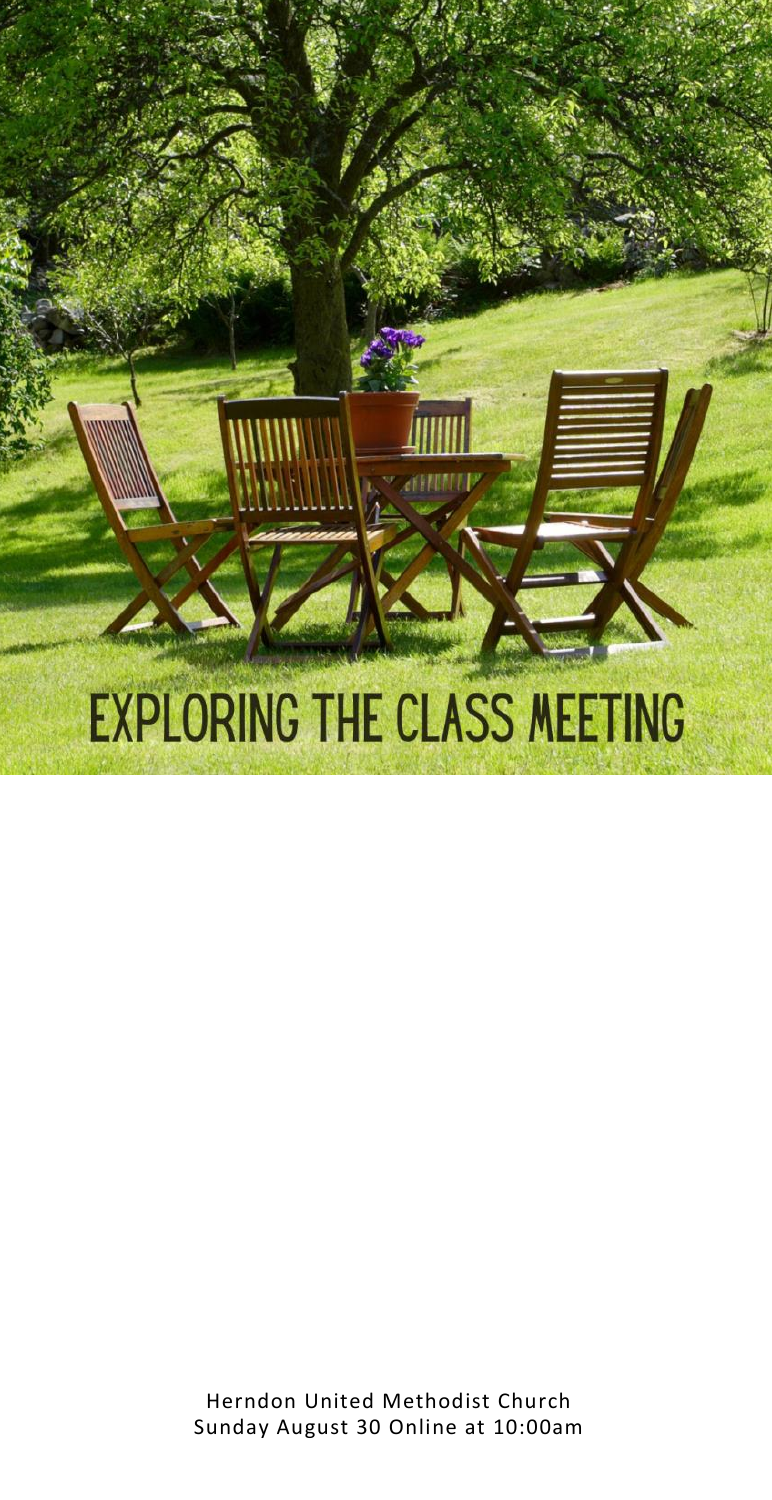

Herndon United Methodist Church Sunday August 30 Online at 10:00am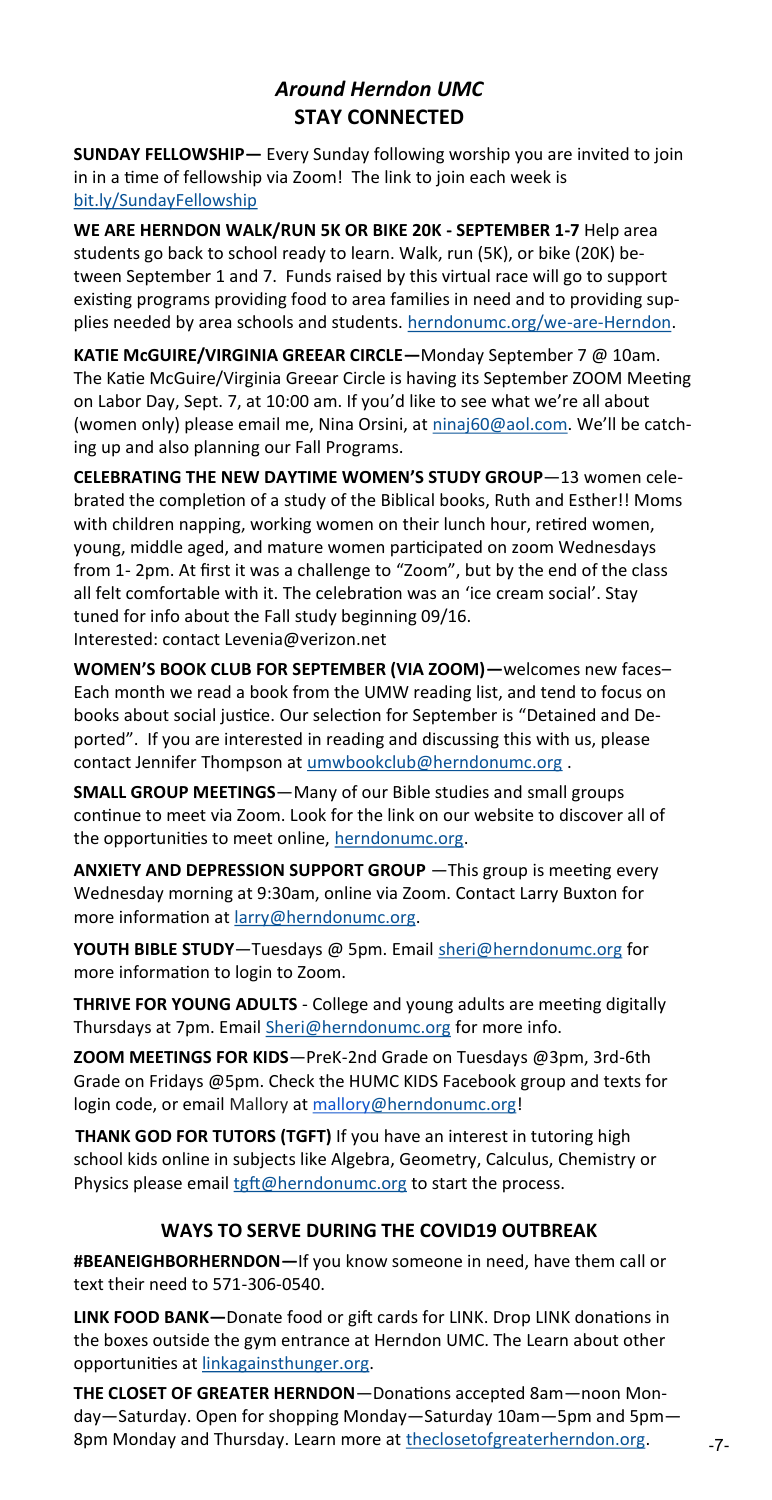#### *Around Herndon UMC* **STAY CONNECTED**

**SUNDAY FELLOWSHIP—** Every Sunday following worship you are invited to join in in a time of fellowship via Zoom! The link to join each week is [bit.ly/SundayFellowship](https://zoom.us/s/97492612693?pwd=WEc1TmhSRm5iNklwb0JiMVBMb2pSUT09C:/Users/Office/Documents/3%20on%203)

**WE ARE HERNDON WALK/RUN 5K OR BIKE 20K - SEPTEMBER 1-7** Help area students go back to school ready to learn. Walk, run (5K), or bike (20K) between September 1 and 7. Funds raised by this virtual race will go to support existing programs providing food to area families in need and to providing supplies needed by area schools and students. [herndonumc.org/we](https://herndonumc.org/we-are-herndon)-are-Herndon.

**KATIE McGUIRE/VIRGINIA GREEAR CIRCLE—**Monday September 7 @ 10am. The Katie McGuire/Virginia Greear Circle is having its September ZOOM Meeting on Labor Day, Sept. 7, at 10:00 am. If you'd like to see what we're all about (women only) please email me, Nina Orsini, at [ninaj60@aol.com.](mailto:ninaj60@aol.com) We'll be catching up and also planning our Fall Programs.

**CELEBRATING THE NEW DAYTIME WOMEN'S STUDY GROUP**—13 women celebrated the completion of a study of the Biblical books, Ruth and Esther!! Moms with children napping, working women on their lunch hour, retired women, young, middle aged, and mature women participated on zoom Wednesdays from 1- 2pm. At first it was a challenge to "Zoom", but by the end of the class all felt comfortable with it. The celebration was an 'ice cream social'. Stay tuned for info about the Fall study beginning 09/16. Interested: contact Levenia@verizon.net

**WOMEN'S BOOK CLUB FOR SEPTEMBER (VIA ZOOM)—**welcomes new faces– Each month we read a book from the UMW reading list, and tend to focus on books about social justice. Our selection for September is "Detained and Deported". If you are interested in reading and discussing this with us, please contact Jennifer Thompson at [umwbookclub@herndonumc.org](mailto:umwbookclub@herndonumc.org).

**SMALL GROUP MEETINGS**—Many of our Bible studies and small groups continue to meet via Zoom. Look for the link on our website to discover all of the opportunities to meet online, [herndonumc.org.](https://herndonumc.org/calendar/)

**ANXIETY AND DEPRESSION SUPPORT GROUP** —This group is meeting every Wednesday morning at 9:30am, online via Zoom. Contact Larry Buxton for more information at [larry@herndonumc.org.](mailto:larry@herndonumc.org)

**YOUTH BIBLE STUDY**—Tuesdays @ 5pm. Email [sheri@herndonumc.org](mailto:sheri@herndonumc.org) for more information to login to Zoom.

**THRIVE FOR YOUNG ADULTS** - College and young adults are meeting digitally Thursdays at 7pm. Email [Sheri@herndonumc.org](mailto:Sheri@herndonumc.org) for more info.

**ZOOM MEETINGS FOR KIDS**—PreK-2nd Grade on Tuesdays @3pm, 3rd-6th Grade on Fridays @5pm. Check the HUMC KIDS Facebook group and texts for login code, or email Mallory at mallory@herndonumc.org!

**THANK GOD FOR TUTORS (TGFT)** If you have an interest in tutoring high school kids online in subjects like Algebra, Geometry, Calculus, Chemistry or Physics please email [tgft@herndonumc.org](mailto:tgft@herndonumc.org) to start the process.

#### **WAYS TO SERVE DURING THE COVID19 OUTBREAK**

**#BEANEIGHBORHERNDON—**If you know someone in need, have them call or text their need to 571-306-0540.

**LINK FOOD BANK—**Donate food or gift cards for LINK. Drop LINK donations in the boxes outside the gym entrance at Herndon UMC. The Learn about other opportunities at [linkagainsthunger.org.](https://www.linkagainsthunger.org/)

**THE CLOSET OF GREATER HERNDON**—Donations accepted 8am—noon Monday—Saturday. Open for shopping Monday—Saturday 10am—5pm and 5pm— 8pm Monday and Thursday. Learn more at [theclosetofgreaterherndon.org.](http://theclosetofgreaterherndon.org/)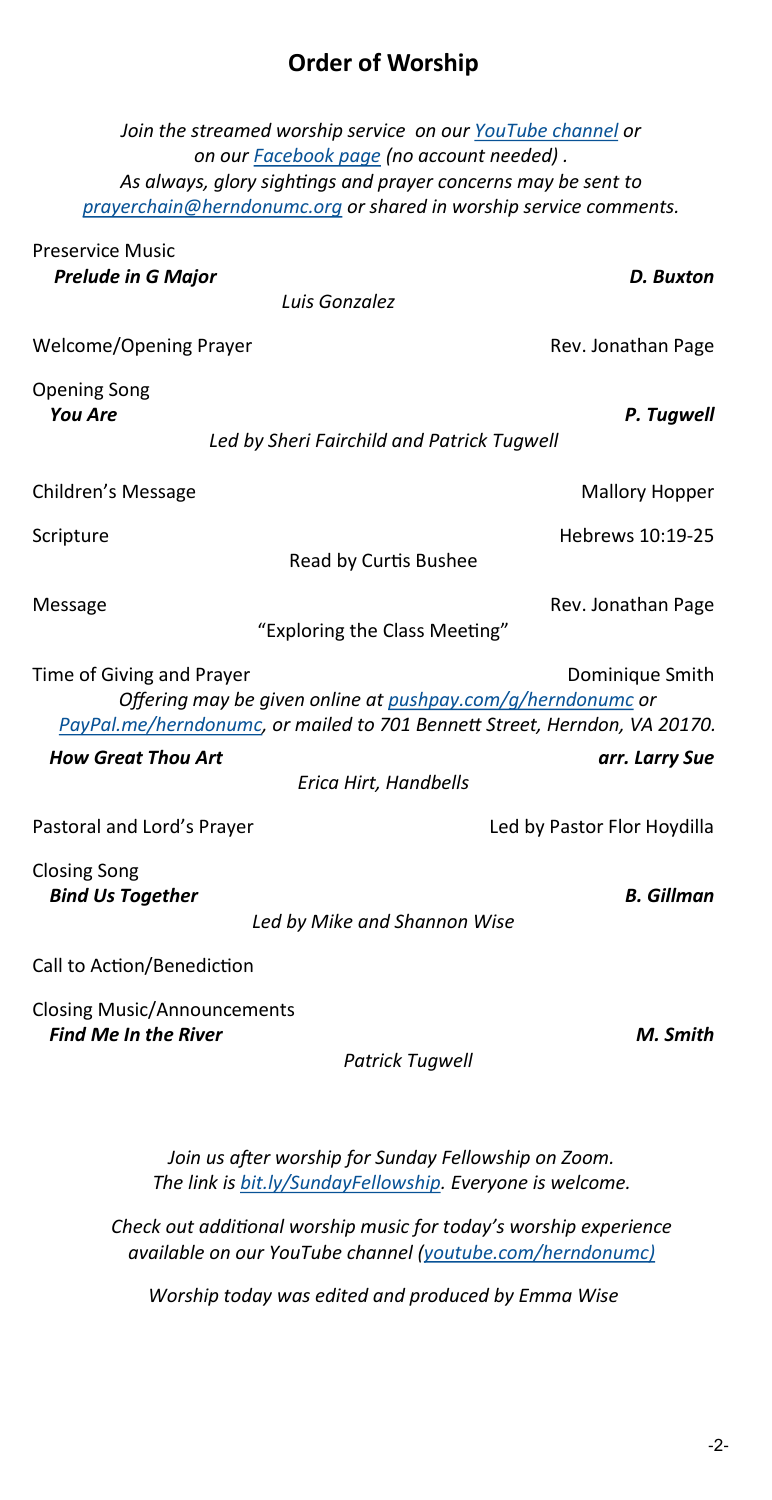## **Order of Worship**

| Join the streamed worship service on our YouTube channel or<br>on our Facebook page (no account needed).                                                                                 |                             |
|------------------------------------------------------------------------------------------------------------------------------------------------------------------------------------------|-----------------------------|
| As always, glory sightings and prayer concerns may be sent to                                                                                                                            |                             |
| prayerchain@herndonumc.org or shared in worship service comments.                                                                                                                        |                             |
| <b>Preservice Music</b><br><b>Prelude in G Major</b>                                                                                                                                     | D. Buxton                   |
| Luis Gonzalez                                                                                                                                                                            |                             |
| Welcome/Opening Prayer                                                                                                                                                                   | Rev. Jonathan Page          |
| <b>Opening Song</b><br><b>You Are</b>                                                                                                                                                    | P. Tugwell                  |
| Led by Sheri Fairchild and Patrick Tugwell                                                                                                                                               |                             |
| Children's Message                                                                                                                                                                       | <b>Mallory Hopper</b>       |
| Scripture<br>Read by Curtis Bushee                                                                                                                                                       | Hebrews 10:19-25            |
|                                                                                                                                                                                          |                             |
| Message<br>"Exploring the Class Meeting"                                                                                                                                                 | Rev. Jonathan Page          |
| Time of Giving and Prayer<br>Dominique Smith<br>Offering may be given online at pushpay.com/q/herndonumc or<br>PayPal.me/herndonumc, or mailed to 701 Bennett Street, Herndon, VA 20170. |                             |
| <b>How Great Thou Art</b>                                                                                                                                                                | arr. Larry Sue              |
| Erica Hirt, Handbells                                                                                                                                                                    |                             |
| Pastoral and Lord's Prayer                                                                                                                                                               | Led by Pastor Flor Hoydilla |
| <b>Closing Song</b><br><b>Bind Us Together</b>                                                                                                                                           | <b>B.</b> Gillman           |
| Led by Mike and Shannon Wise                                                                                                                                                             |                             |
| Call to Action/Benediction                                                                                                                                                               |                             |
| <b>Closing Music/Announcements</b><br><b>Find Me In the River</b>                                                                                                                        | M. Smith                    |

 *Patrick Tugwell*

*Join us after worship for Sunday Fellowship on Zoom. The link is [bit.ly/SundayFellowship.](https://bit.ly/SundayFellowship) Everyone is welcome.*

*Check out additional worship music for today's worship experience available on our YouTube channel ([youtube.com/herndonumc\)](https://www.youtube.com/herndonumc)*

*Worship today was edited and produced by Emma Wise*